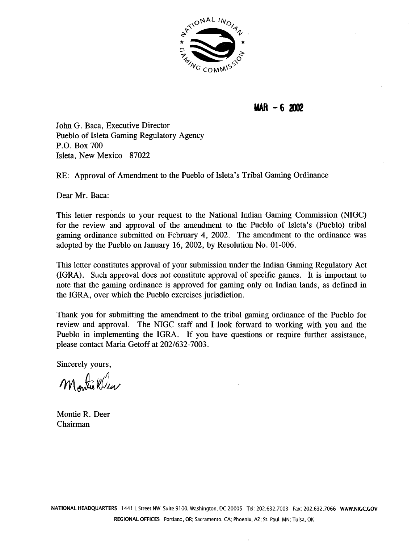

## $MAR - 62002$

John G. Baca, Executive Director Pueblo of Isleta Gaming Regulatory Agency P.O. Box 700 Isleta, New Mexico 87022

RE: Approval of Amendment to the Pueblo of Isleta's Tribal Gaming Ordinance

Dear Mr. Baca:

This letter responds to your request to the National Indian Gaming Commission (NIGC) for the review and approval of the amendment to the Pueblo of Isleta's (Pueblo) tribal gaming ordinance submitted on February 4, 2002. The amendment to the ordinance was adopted by the Pueblo on January 16, 2002, by Resolution No. 01-006.

This letter constitutes approval of your submission under the Indian Gaming Regulatory Act (IGRA). Such approval does not constitute approval of specific games. It is important to note that the gaming ordinance is approved for gaming only on Indian lands, as defined in the IGRA, over which the Pueblo exercises jurisdiction.

Thank you for submitting the amendment to the tribal gaming ordinance of the Pueblo for review and approval. The NIGC staff and I look forward to working with you and the Pueblo in implementing the IGRA. If you have questions or require further assistance, please contact Maria Getoff at 202/632-7003.

Sincerely yours,

Montre Wear

Montie R. Deer Chairman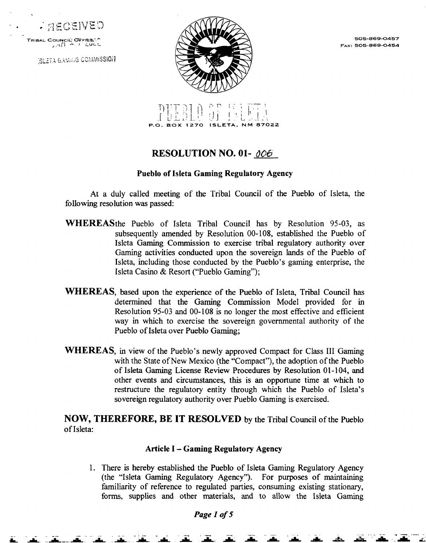$;$   $\cap$  $\in$  $\cap$  $\in$  $\mathbb{N}$ 

**~~ ~Mi~SIO1**



**~x: 505-869-0454**



# **RESOLUTION NO. 01-** 006

#### **Pueblo of Isleta Gaming Regulatory Agency**

**At a duly called meeting of the Tribal Council of the Pueblo of Isleta, the following resolution was passed:**

- **WHEREASthe Pueblo of Isleta Tribal Council has by Resolution 95-03, as subsequently amended by Resolution 00-108, established the Pueblo of Isleta Gaming Commission to exercise tribal regulatory authority over Gaming activities conducted upon the sovereign lands of the Pueblo of**  $I$ sleta, including those conducted by the Pueblo's gaming enterprise, the **Isleta Casino & Resort ("Pueblo Gaming");**
- **WHEREAS, based upon the experience of the Pueblo of Isleta, Tribal Council has determined that the Gaming Commission Model provided for in Resolution 95-03 and 00-108 is no longer the most effective and efficient way in which to exercise the sovereign governmental authority of the Pueblo of Isleta over Pueblo Gaming;**
- **WHEREAS**, in view of the Pueblo's newly approved Compact for Class III Gaming **with the State of New Mexico (the Compact), the adoption of the Pueblo of Isleta Gaming License Review Procedures by Resolution 01-104, and other events and circumstances, this is an opportune time at which to restructure** the regulatory entity through which the Pueblo of Isleta's **sovereign regulatory authority over Pueblo Gaming is exercised.**

**NOW, THEREFORE, BE IT RESOLVED by the Tribal Council of the Pueblo of Isleta:**

#### **Article <sup>I</sup> Gaming Regulatory Agency**

**1. There is hereby established the Pueblo of Isleta Gaming Regulatory Agency (the Isleta Gaming Regulatory Agency). For purposes of maintaining familiarity of reference to regulated parties, consuming existing stationary, forms, supplies and other materials, and to allow the Isleta Gaming**

**i.\_ ~ ~ ~ ~ -~ ~ ~ ~ ~ <sup>A</sup> ~ .~. ~- .~ ~. .~. ~**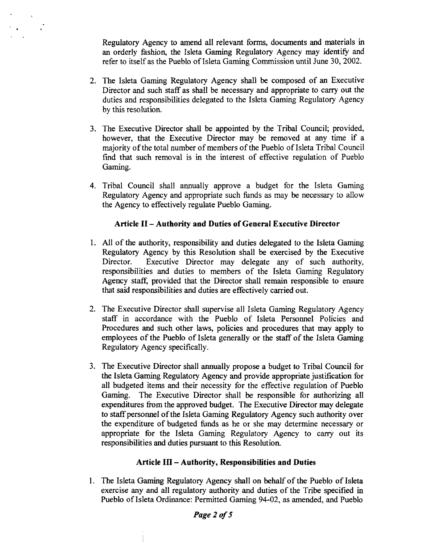**Regulatory Agency to amend all relevant forms, documents and materials in an** orderly fashion, the Isleta Gaming Regulatory Agency may identify and **refer to itself as the Pueblo of Isleta Gaming Commission until June 30, 2002.**

- **2. The Isleta Gaming Regulatory Agency shall be composed of an Executive Director and such staff as shall be necessary and appropriate to carry out the duties and responsibilities delegated to the Isleta Gaming Regulatory Agency by this resolution.**
- **3. The Executive Director shall be appointed by the Tribal Council; provided, however, that the Executive Director may be removed at any time if <sup>a</sup> majority of the total number of members of the Pueblo of Isleta Tribal Council find that such removal is in the interest of effective regulation of Pueblo Gaming.**
- **4. Tribal Council shall annually approve a budget for the Isleta Gaming Regulatory Agency and appropriate such finds as may be necessary to allow the Agency to effectively regulate Pueblo Gaming.**

#### **Article H Authority and Duties of General Executive Director**

- **1. All of the authority, responsibility and duties delegated to the Isleta Gaming Regulatory Agency by this Resolution shall be exercised by the Executive Director. Executive Director may delegate any of such authority, responsibilities and duties to members of the Isleta Gaming Regulatory Agency stag provided that the Director shall remain responsible to ensure that said responsibilities and duties are effectively carried out.**
- **2. The Executive Director shall supervise all Isleta Gaming Regulatory Agency staff in accordance with the Pueblo of Isleta Personnel Policies and Procedures and such other laws, policies and procedures that may apply to employees of the Pueblo of Isleta generally or the staff of the Isleta Gaming Regulatory Agency specifically.**
- **3. The Executive Director shall annually propose <sup>a</sup> budget to Tribal Council for the Isleta Gaming Regulatory Agency and provide appropriate justification for all budgeted items and their necessity for the effective regulation of Pueblo Gaming. The Executive Director shall be responsible for authorizing all expenditures from the approved budget. The Executive Director may delegate to staff personnel of the Isleta Gaming Regulatory Agency such authority over the expenditure of budgeted funds as he or she may determine necessary or appropriate for the Isleta Gaming Regulatory Agency to carry out its responsibilities and duties pursuant to this Resolution.**

#### **Article Ill Authority, Responsibilities and Duties**

**1. The Isleta Gaming Regulatory Agency shall on behalf of the Pueblo of Isleta exercise any and all regulatory authority and duties of the Tribe specified in Pueblo of Isleta Ordinance: Permitted Gaming 94-02, as amended, and Pueblo**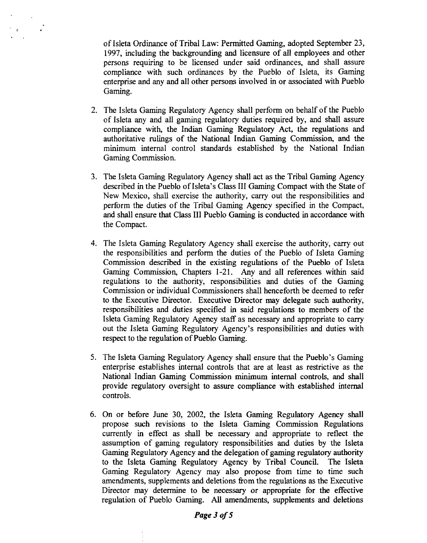**of Isleta Ordinance of Tribal Law: Permitted Gaming, adopted September 23, 1997, including the backgrounding and licensure of all employees and other persons requiring to be licensed under said ordinances, and shall assure compliance with such ordinances by the Pueblo of Isleta, its Gaming enterprise and any and all other persons involved in or associated with Pueblo Gaming.**

- **2. The Isleta Gaming Regulatory Agency shall perform on behalf of the Pueblo of Isleta any and all gaming regulatory duties required by, and shall assure compliance with, the Indian Gaming Regulatory Act, the regulations and authoritative rulings of the National Indian Gaming Commission, and the minimum internal control standards established by the National Indian Gaming Commission.**
- **3. The Isleta Gaming Regulatory Agency shall act as the Tribal Gaming Agency described in the Pueblo of Isletas Class III Gaming Compact with the State of New Mexico, shall exercise the authority, carry out the responsibilities and perform the duties of the Tribal Gaming Agency specified in the Compact, and shall ensure that Class Ill Pueblo Gaming is conducted in accordance with the Compact.**
- **4. The Isleta Gaming Regulatory Agency shall exercise the authority, carry out the responsibilities and perform the duties of the Pueblo of Isleta Gaming Commission described in the existing regulations of the Pueblo of Isleta Gaming Commission, Chapters 1-21. Any and all references within said regulations to the authority, responsibilities and duties of the Gaming Commission or individual Commissioners shall henceforth be deemed to refer to the Executive Director. Executive Director may delegate such authority, responsibilities and duties specified in said regulations to members of the Isleta Gaming Regulatory Agency staff as necessary and appropriate to carry out the Isleta Gaming Regulatory Agencys responsibilities and duties with respect to the regulation of Pueblo Gaming.**
- **5. The Isleta Gaming Regulatory Agency shall ensure that the Pueblos Gaming enterprise establishes internal controls that are at least as restrictive as the National Indian Gaming Commission minimum internal controls, and shall provide regulatory oversight to assure compliance with established internal controls.**
- **6. On or before June 30, 2002, the Isleta Gaming Regulatory Agency shall propose such revisions to the Isleta Gaming Commission Regulations currently in effect as shall be necessary and appropriate to reflect the assumption of gaming regulatory responsibilities and duties by the Isleta Gaming Regulatory Agency and the delegation of gaming regulatory authority to the Isleta Gaming Regulatory Agency by Tribal Council. The Isleta Gaming Regulatory Agency may also propose from time to time such amendments, supplements and deletions from the regulations as the Executive Director may determine to be necessary or appropriate for the effective regulation of Pueblo Gaming. All amendments, supplements and deletions**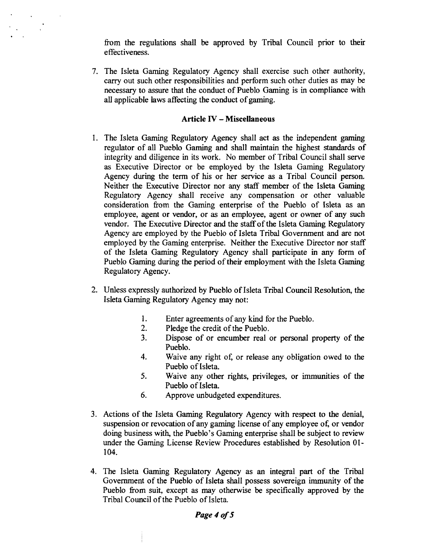**from the regulations shall be approved by Tribal Council prior to their effectiveness.**

**7. The Isleta Gaming Regulatory Agency shall exercise such other authority, carry out such other responsibilities and perform such other duties as may be necessary to assure that the conduct of Pueblo Gaming is in compliance with all applicable laws affecting the conduct of gaming.**

#### **Article IV Miscellaneous**

- **1. The Isleta Gaming Regulatory Agency shall act as the independent gaming regulator of all Pueblo Gaming and shall maintain the highest standards of integrity and diligence in its work. No member of Tribal Council shall serve as Executive Director or be employed by the Isleta Gaming Regulatory Agency during the term of his or her service as a Tribal Council person. Neither the Executive Director nor any staff member of the Isleta Gaming Regulatory Agency shall receive any compensation or other valuable consideration from the Gaming enterprise of the Pueblo of Isleta as an employee, agent or vendor, or as an employee, agent or owner of any such vendor. The Executive Director and the staff of the Isleta Gaming Regulatory Agency are employed by the Pueblo of Isleta Tribal Government and are not employed by the Gaming enterprise. Neither the Executive Director nor staff of the Isleta Gaming Regulatory Agency shall participate in any form of Pueblo Gaming during the period of their employment with the Isleta Gaming Regulatory Agency.**
- **2. Unless expressly authorized by Pueblo of Isleta Tribal Council Resolution, the Isleta Gaming Regulatory Agency may not:**
	- **1. Enter agreements of any kind for the Pueblo.**
	- **2. Pledge the credit of the Pueblo.**
	- **3. Dispose of or encumber real or personal property of the Pueblo.**
	- **4. Waive any right of, or release any obligation owed to the Pueblo of Isleta.**
	- **5. Waive any other rights, privileges, or immunities of the Pueblo of Isleta.**
	- **6. Approve unbudgeted expenditures.**
- **3. Actions of the Isleta Gaming Regulatory Agency with respect to the denial, suspension or revocation of any gaming license of any employee of, or vendor doing** business with, the Pueblo's Gaming enterprise shall be subject to review **under the Gaming License Review Procedures established by Resolution 01- 104.**
- **4. The Isleta Gaming Regulatory Agency as an integral part of the Tribal Government of the Pueblo of Isleta shall possess sovereign immunity of the Pueblo from suit, except as may otherwise be specifically approved by the Tribal Council of the Pueblo of Isleta.**